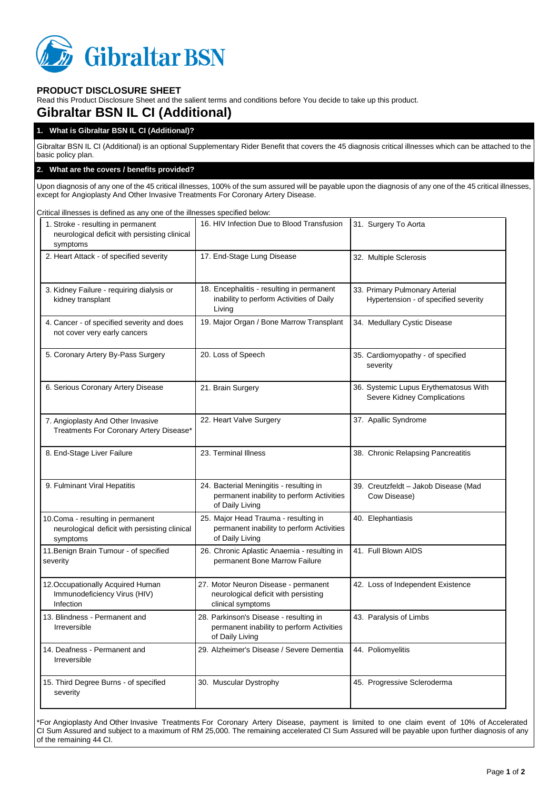

# **PRODUCT DISCLOSURE SHEET**

Read this Product Disclosure Sheet and the salient terms and conditions before You decide to take up this product.

# **Gibraltar BSN IL CI (Additional)**

# **1. What is Gibraltar BSN IL CI (Additional)?**

Gibraltar BSN IL CI (Additional) is an optional Supplementary Rider Benefit that covers the 45 diagnosis critical illnesses which can be attached to the basic policy plan.

## **2. What are the covers / benefits provided?**

Upon diagnosis of any one of the 45 critical illnesses, 100% of the sum assured will be payable upon the diagnosis of any one of the 45 critical illnesses, except for Angioplasty And Other Invasive Treatments For Coronary Artery Disease.

Critical illnesses is defined as any one of the illnesses specified below: 1. Stroke - resulting in permanent neurological deficit with persisting clinical symptoms 16. HIV Infection Due to Blood Transfusion 31. Surgery To Aorta 2. Heart Attack - of specified severity 17. End-Stage Lung Disease 32. Multiple Sclerosis 3. Kidney Failure - requiring dialysis or kidney transplant 18. Encephalitis - resulting in permanent inability to perform Activities of Daily Living 33. Primary Pulmonary Arterial Hypertension - of specified severity 4. Cancer - of specified severity and does not cover very early cancers 19. Major Organ / Bone Marrow Transplant | 34. Medullary Cystic Disease 5. Coronary Artery By-Pass Surgery 20. Loss of Speech 35. Cardiomyopathy - of specified severity 6. Serious Coronary Artery Disease 21. Brain Surgery 21. Brain Surgery 36. Systemic Lupus Erythematosus With Severe Kidney Complications 7. Angioplasty And Other Invasive Treatments For Coronary Artery Disease\* 22. Heart Valve Surgery 37. Apallic Syndrome 8. End-Stage Liver Failure 23. Terminal Illness 38. Chronic Relapsing Pancreatitis 9. Fulminant Viral Hepatitis 24. Bacterial Meningitis - resulting in permanent inability to perform Activities of Daily Living 39. Creutzfeldt – Jakob Disease (Mad Cow Disease) 10.Coma - resulting in permanent neurological deficit with persisting clinical symptoms 25. Major Head Trauma - resulting in permanent inability to perform Activities of Daily Living 40. Elephantiasis 11.Benign Brain Tumour - of specified severity 26. Chronic Aplastic Anaemia - resulting in permanent Bone Marrow Failure 41. Full Blown AIDS 12.Occupationally Acquired Human Immunodeficiency Virus (HIV) Infection 27. Motor Neuron Disease - permanent neurological deficit with persisting clinical symptoms 42. Loss of Independent Existence 13. Blindness - Permanent and Irreversible 28. Parkinson's Disease - resulting in permanent inability to perform Activities of Daily Living 43. Paralysis of Limbs 14. Deafness - Permanent and Irreversible 29. Alzheimer's Disease / Severe Dementia | 44. Poliomyelitis 15. Third Degree Burns - of specified severity 30. Muscular Dystrophy 45. Progressive Scleroderma

\*For Angioplasty And Other Invasive Treatments For Coronary Artery Disease, payment is limited to one claim event of 10% of Accelerated CI Sum Assured and subject to a maximum of RM 25,000. The remaining accelerated CI Sum Assured will be payable upon further diagnosis of any of the remaining 44 CI.